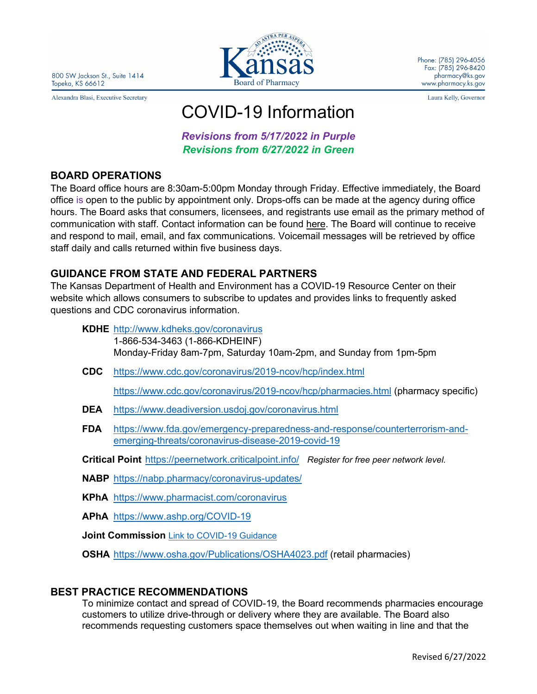Alexandra Blasi, Executive Secretary



Phone: (785) 296-4056 Fax: (785) 296-8420 pharmacy@ks.gov www.pharmacy.ks.gov

Laura Kelly, Governor

# COVID-19 Information

*Revisions from 5/17/2022 in Purple Revisions from 6/27/2022 in Green*

### **BOARD OPERATIONS**

The Board office hours are 8:30am-5:00pm Monday through Friday. Effective immediately, the Board office is open to the public by appointment only. Drops-offs can be made at the agency during office hours. The Board asks that consumers, licensees, and registrants use email as the primary method of communication with staff. Contact information can be found [here.](https://pharmacy.ks.gov/about-us1/board-staff) The Board will continue to receive and respond to mail, email, and fax communications. Voicemail messages will be retrieved by office staff daily and calls returned within five business days.

## **GUIDANCE FROM STATE AND FEDERAL PARTNERS**

The Kansas Department of Health and Environment has a COVID-19 Resource Center on their website which allows consumers to subscribe to updates and provides links to frequently asked questions and CDC coronavirus information.

- **KDHE** [http://www.kdheks.gov/coronavirus](http://www.kdheks.gov/coronavirus/index.htm) 1-866-534-3463 (1-866-KDHEINF) Monday-Friday 8am-7pm, Saturday 10am-2pm, and Sunday from 1pm-5pm
- **CDC** <https://www.cdc.gov/coronavirus/2019-ncov/hcp/index.html>

<https://www.cdc.gov/coronavirus/2019-ncov/hcp/pharmacies.html> (pharmacy specific)

- **DEA** <https://www.deadiversion.usdoj.gov/coronavirus.html>
- **FDA** [https://www.fda.gov/emergency-preparedness-and-response/counterterrorism-and](https://www.fda.gov/emergency-preparedness-and-response/counterterrorism-and-emerging-threats/coronavirus-disease-2019-covid-19)[emerging-threats/coronavirus-disease-2019-covid-19](https://www.fda.gov/emergency-preparedness-and-response/counterterrorism-and-emerging-threats/coronavirus-disease-2019-covid-19)
- **Critical Point** <https://peernetwork.criticalpoint.info/>*Register for free peer network level.*
- **NABP** <https://nabp.pharmacy/coronavirus-updates/>
- **KPhA** https://www.pharmacist.com/coronavirus
- **APhA** <https://www.ashp.org/COVID-19>
- **Joint Commission** Link to COVID-19 Guidance
- **OSHA** <https://www.osha.gov/Publications/OSHA4023.pdf> (retail pharmacies)

#### **BEST PRACTICE RECOMMENDATIONS**

To minimize contact and spread of COVID-19, the Board recommends pharmacies encourage customers to utilize drive-through or delivery where they are available. The Board also recommends requesting customers space themselves out when waiting in line and that the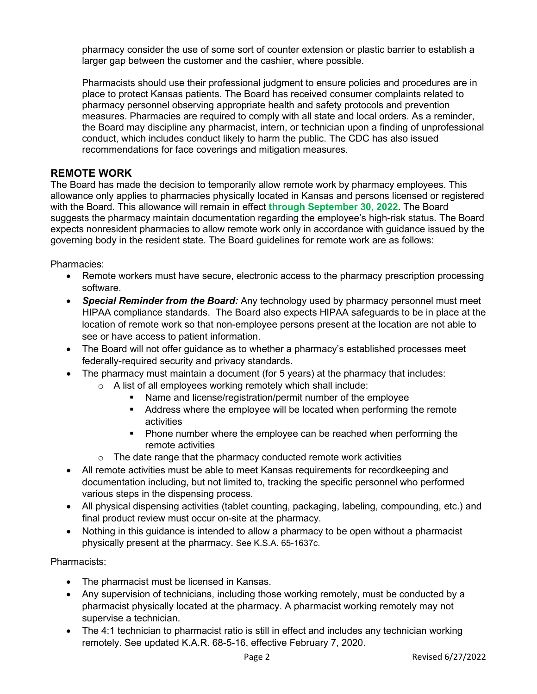pharmacy consider the use of some sort of counter extension or plastic barrier to establish a larger gap between the customer and the cashier, where possible.

Pharmacists should use their professional judgment to ensure policies and procedures are in place to protect Kansas patients. The Board has received consumer complaints related to pharmacy personnel observing appropriate health and safety protocols and prevention measures. Pharmacies are required to comply with all state and local orders. As a reminder, the Board may discipline any pharmacist, intern, or technician upon a finding of unprofessional conduct, which includes conduct likely to harm the public. The CDC has also issued recommendations for face coverings and mitigation measures.

#### **REMOTE WORK**

The Board has made the decision to temporarily allow remote work by pharmacy employees. This allowance only applies to pharmacies physically located in Kansas and persons licensed or registered with the Board. This allowance will remain in effect **through September 30, 2022**. The Board suggests the pharmacy maintain documentation regarding the employee's high-risk status. The Board expects nonresident pharmacies to allow remote work only in accordance with guidance issued by the governing body in the resident state. The Board guidelines for remote work are as follows:

Pharmacies:

- Remote workers must have secure, electronic access to the pharmacy prescription processing software.
- *Special Reminder from the Board:* Any technology used by pharmacy personnel must meet HIPAA compliance standards. The Board also expects HIPAA safeguards to be in place at the location of remote work so that non-employee persons present at the location are not able to see or have access to patient information.
- The Board will not offer guidance as to whether a pharmacy's established processes meet federally-required security and privacy standards.
- The pharmacy must maintain a document (for 5 years) at the pharmacy that includes:
	- $\circ$  A list of all employees working remotely which shall include:
		- Name and license/registration/permit number of the employee
		- Address where the employee will be located when performing the remote activities
		- **Phone number where the employee can be reached when performing the** remote activities
	- $\circ$  The date range that the pharmacy conducted remote work activities
- All remote activities must be able to meet Kansas requirements for recordkeeping and documentation including, but not limited to, tracking the specific personnel who performed various steps in the dispensing process.
- All physical dispensing activities (tablet counting, packaging, labeling, compounding, etc.) and final product review must occur on-site at the pharmacy.
- Nothing in this guidance is intended to allow a pharmacy to be open without a pharmacist physically present at the pharmacy. See K.S.A. 65-1637c.

Pharmacists:

- The pharmacist must be licensed in Kansas.
- Any supervision of technicians, including those working remotely, must be conducted by a pharmacist physically located at the pharmacy. A pharmacist working remotely may not supervise a technician.
- The 4:1 technician to pharmacist ratio is still in effect and includes any technician working remotely. See updated K.A.R. 68-5-16, effective February 7, 2020.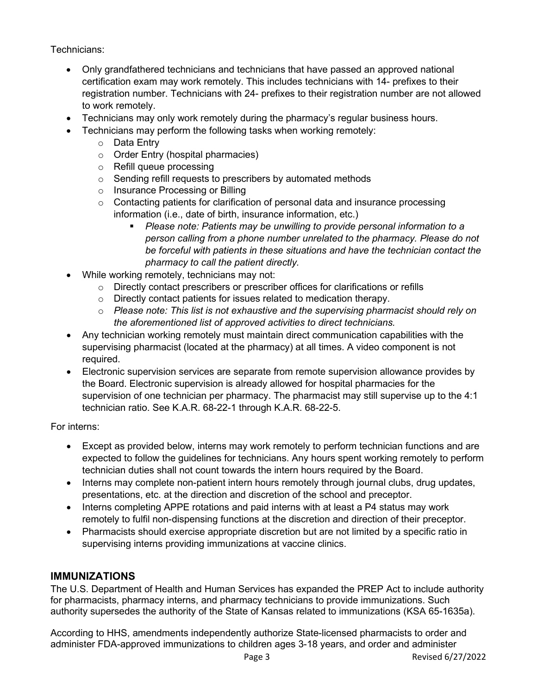Technicians:

- Only grandfathered technicians and technicians that have passed an approved national certification exam may work remotely. This includes technicians with 14- prefixes to their registration number. Technicians with 24- prefixes to their registration number are not allowed to work remotely.
- Technicians may only work remotely during the pharmacy's regular business hours.
- Technicians may perform the following tasks when working remotely:
	- o Data Entry
	- o Order Entry (hospital pharmacies)
	- o Refill queue processing
	- o Sending refill requests to prescribers by automated methods
	- o Insurance Processing or Billing
	- o Contacting patients for clarification of personal data and insurance processing information (i.e., date of birth, insurance information, etc.)
		- *Please note: Patients may be unwilling to provide personal information to a person calling from a phone number unrelated to the pharmacy. Please do not be forceful with patients in these situations and have the technician contact the pharmacy to call the patient directly.*
- While working remotely, technicians may not:
	- o Directly contact prescribers or prescriber offices for clarifications or refills
	- o Directly contact patients for issues related to medication therapy.
	- o *Please note: This list is not exhaustive and the supervising pharmacist should rely on the aforementioned list of approved activities to direct technicians.*
- Any technician working remotely must maintain direct communication capabilities with the supervising pharmacist (located at the pharmacy) at all times. A video component is not required.
- Electronic supervision services are separate from remote supervision allowance provides by the Board. Electronic supervision is already allowed for hospital pharmacies for the supervision of one technician per pharmacy. The pharmacist may still supervise up to the 4:1 technician ratio. See K.A.R. 68-22-1 through K.A.R. 68-22-5.

For interns:

- Except as provided below, interns may work remotely to perform technician functions and are expected to follow the guidelines for technicians. Any hours spent working remotely to perform technician duties shall not count towards the intern hours required by the Board.
- Interns may complete non-patient intern hours remotely through journal clubs, drug updates, presentations, etc. at the direction and discretion of the school and preceptor.
- Interns completing APPE rotations and paid interns with at least a P4 status may work remotely to fulfil non-dispensing functions at the discretion and direction of their preceptor.
- Pharmacists should exercise appropriate discretion but are not limited by a specific ratio in supervising interns providing immunizations at vaccine clinics.

# **IMMUNIZATIONS**

The U.S. Department of Health and Human Services has expanded the PREP Act to include authority for pharmacists, pharmacy interns, and pharmacy technicians to provide immunizations. Such authority supersedes the authority of the State of Kansas related to immunizations (KSA 65-1635a).

According to HHS, amendments independently authorize State-licensed pharmacists to order and administer FDA-approved immunizations to children ages 3-18 years, and order and administer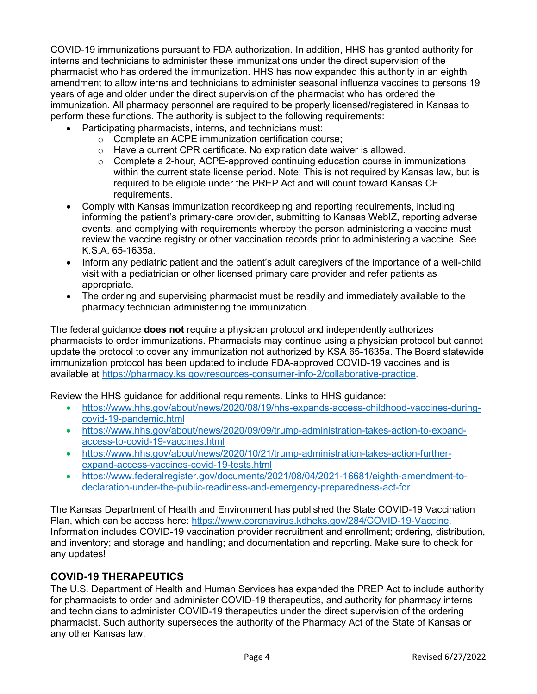COVID-19 immunizations pursuant to FDA authorization. In addition, HHS has granted authority for interns and technicians to administer these immunizations under the direct supervision of the pharmacist who has ordered the immunization. HHS has now expanded this authority in an eighth amendment to allow interns and technicians to administer seasonal influenza vaccines to persons 19 years of age and older under the direct supervision of the pharmacist who has ordered the immunization. All pharmacy personnel are required to be properly licensed/registered in Kansas to perform these functions. The authority is subject to the following requirements:

- Participating pharmacists, interns, and technicians must:
	- o Complete an ACPE immunization certification course;
	- $\circ$  Have a current CPR certificate. No expiration date waiver is allowed.
	- $\circ$  Complete a 2-hour, ACPE-approved continuing education course in immunizations within the current state license period. Note: This is not required by Kansas law, but is required to be eligible under the PREP Act and will count toward Kansas CE requirements.
- Comply with Kansas immunization recordkeeping and reporting requirements, including informing the patient's primary-care provider, submitting to Kansas WebIZ, reporting adverse events, and complying with requirements whereby the person administering a vaccine must review the vaccine registry or other vaccination records prior to administering a vaccine. See K.S.A. 65-1635a.
- Inform any pediatric patient and the patient's adult caregivers of the importance of a well-child visit with a pediatrician or other licensed primary care provider and refer patients as appropriate.
- The ordering and supervising pharmacist must be readily and immediately available to the pharmacy technician administering the immunization.

The federal guidance **does not** require a physician protocol and independently authorizes pharmacists to order immunizations. Pharmacists may continue using a physician protocol but cannot update the protocol to cover any immunization not authorized by KSA 65-1635a. The Board statewide immunization protocol has been updated to include FDA-approved COVID-19 vaccines and is available at [https://pharmacy.ks.gov/resources-consumer-info-2/collaborative-practice.](https://pharmacy.ks.gov/resources-consumer-info-2/collaborative-practice)

Review the HHS guidance for additional requirements. Links to HHS guidance:

- [https://www.hhs.gov/about/news/2020/08/19/hhs-expands-access-childhood-vaccines-during](https://www.hhs.gov/about/news/2020/08/19/hhs-expands-access-childhood-vaccines-during-covid-19-pandemic.html)[covid-19-pandemic.html](https://www.hhs.gov/about/news/2020/08/19/hhs-expands-access-childhood-vaccines-during-covid-19-pandemic.html)
- [https://www.hhs.gov/about/news/2020/09/09/trump-administration-takes-action-to-expand](https://www.hhs.gov/about/news/2020/09/09/trump-administration-takes-action-to-expand-access-to-covid-19-vaccines.html)[access-to-covid-19-vaccines.html](https://www.hhs.gov/about/news/2020/09/09/trump-administration-takes-action-to-expand-access-to-covid-19-vaccines.html)
- [https://www.hhs.gov/about/news/2020/10/21/trump-administration-takes-action-further](https://www.hhs.gov/about/news/2020/10/21/trump-administration-takes-action-further-expand-access-vaccines-covid-19-tests.html)[expand-access-vaccines-covid-19-tests.html](https://www.hhs.gov/about/news/2020/10/21/trump-administration-takes-action-further-expand-access-vaccines-covid-19-tests.html)
- [https://www.federalregister.gov/documents/2021/08/04/2021-16681/eighth-amendment-to](https://www.federalregister.gov/documents/2021/08/04/2021-16681/eighth-amendment-to-declaration-under-the-public-readiness-and-emergency-preparedness-act-for)[declaration-under-the-public-readiness-and-emergency-preparedness-act-for](https://www.federalregister.gov/documents/2021/08/04/2021-16681/eighth-amendment-to-declaration-under-the-public-readiness-and-emergency-preparedness-act-for)

The Kansas Department of Health and Environment has published the State COVID-19 Vaccination Plan, which can be access here: [https://www.coronavirus.kdheks.gov/284/COVID-19-Vaccine.](https://www.coronavirus.kdheks.gov/284/COVID-19-Vaccine) Information includes COVID-19 vaccination provider recruitment and enrollment; ordering, distribution, and inventory; and storage and handling; and documentation and reporting. Make sure to check for any updates!

# **COVID-19 THERAPEUTICS**

The U.S. Department of Health and Human Services has expanded the PREP Act to include authority for pharmacists to order and administer COVID-19 therapeutics, and authority for pharmacy interns and technicians to administer COVID-19 therapeutics under the direct supervision of the ordering pharmacist. Such authority supersedes the authority of the Pharmacy Act of the State of Kansas or any other Kansas law.